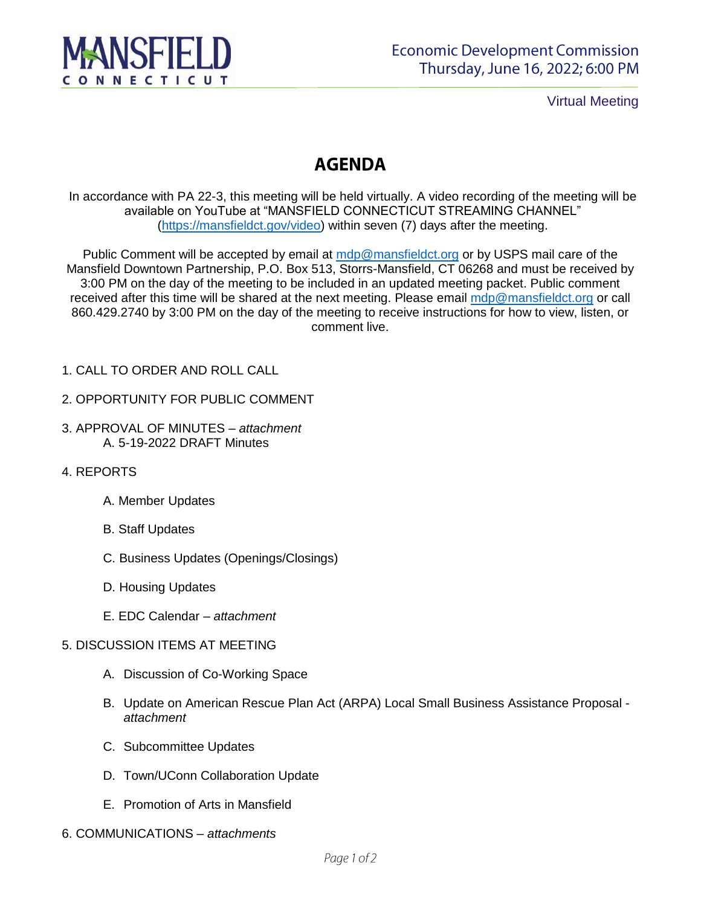

Virtual Meeting

## **AGENDA**

In accordance with PA 22-3, this meeting will be held virtually. A video recording of the meeting will be available on YouTube at "MANSFIELD CONNECTICUT STREAMING CHANNEL" [\(https://mansfieldct.gov/video\)](https://mansfieldct.gov/video) within seven (7) days after the meeting.

Public Comment will be accepted by email at [mdp@mansfieldct.org](mailto:mdp@mansfieldct.org) or by USPS mail care of the Mansfield Downtown Partnership, P.O. Box 513, Storrs-Mansfield, CT 06268 and must be received by 3:00 PM on the day of the meeting to be included in an updated meeting packet. Public comment received after this time will be shared at the next meeting. Please email [mdp@mansfieldct.org](mailto:mdp@mansfieldct.org) or call 860.429.2740 by 3:00 PM on the day of the meeting to receive instructions for how to view, listen, or comment live.

- 1. CALL TO ORDER AND ROLL CALL
- 2. OPPORTUNITY FOR PUBLIC COMMENT
- 3. APPROVAL OF MINUTES *attachment* A. 5-19-2022 DRAFT Minutes
- 4. REPORTS
	- A. Member Updates
	- B. Staff Updates
	- C. Business Updates (Openings/Closings)
	- D. Housing Updates
	- E. EDC Calendar *attachment*

## 5. DISCUSSION ITEMS AT MEETING

- A. Discussion of Co-Working Space
- B. Update on American Rescue Plan Act (ARPA) Local Small Business Assistance Proposal *attachment*
- C. Subcommittee Updates
- D. Town/UConn Collaboration Update
- E. Promotion of Arts in Mansfield
- 6. COMMUNICATIONS *attachments*